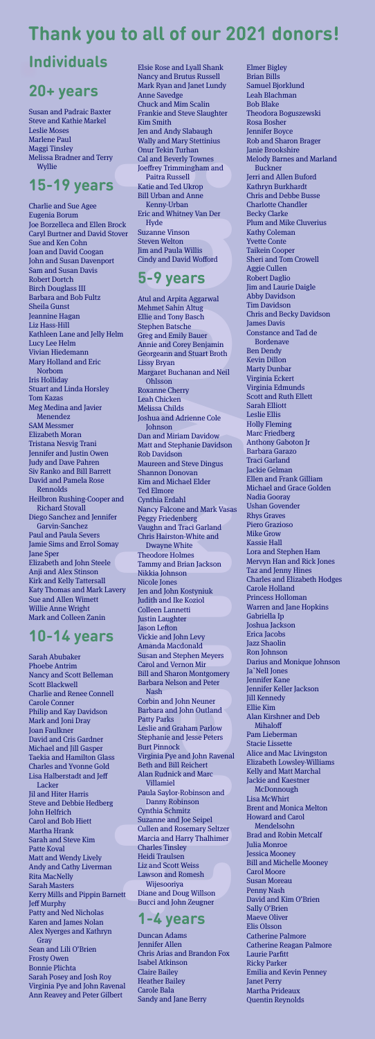# **Individuals**

### **20+ years**

Susan and Padraic Baxter Steve and Kathie Markel Leslie Moses Marlene Paul Maggi Tinsley Melissa Bradner and Terry Wyllie

# **15-19 years**

Charlie and Sue Agee Eugenia Borum Joe Borzelleca and Ellen Brock Caryl Burtner and David Stover Sue and Ken Cohn Joan and David Coogan John and Susan Davenport Sam and Susan Davis Robert Dortch Birch Douglass III Barbara and Bob Fultz Sheila Gunst Jeannine Hagan Liz Hass-Hill Kathleen Lane and Jelly Helm Lucy Lee Helm Vivian Hiedemann Mary Holland and Eric Norbom Iris Holliday Stuart and Linda Horsley Tom Kazas Meg Medina and Javier Menendez SAM Messmer Elizabeth Moran Tristana Nesvig Trani Jennifer and Justin Owen Judy and Dave Pahren Siv Ranko and Bill Barrett David and Pamela Rose Rennolds Heilbron Rushing-Cooper and Richard Stovall Diego Sanchez and Jennifer Garvin-Sanchez Paul and Paula Severs Jamie Sims and Errol Somay Jane Sper Elizabeth and John Steele Anji and Alex Stinson Kirk and Kelly Tattersall Katy Thomas and Mark Lavery Sue and Allen Wimett Willie Anne Wright Mark and Colleen Zanin

# **10-14 years**

Sarah Abubaker Phoebe Antrim Nancy and Scott Belleman Scott Blackwell Charlie and Renee Connell Carole Conner Philip and Kay Davidson Mark and Joni Dray Joan Faulkner David and Cris Gardner Michael and Jill Gasper Taekia and Hamilton Glass Charles and Yvonne Gold Lisa Halberstadt and Jeff **Lacker** Jil and Hiter Harris Steve and Debbie Hedberg John Helfrich Carol and Bob Hiett Martha Hrank Sarah and Steve Kim Patte Koval Matt and Wendy Lively Andy and Cathy Liverman Rita MacNelly Sarah Masters Kerry Mills and Pippin Barnett Jeff Murphy Patty and Ned Nicholas Karen and James Nolan Alex Nyerges and Kathryn Gray Sean and Lili O'Brien Frosty Owen Bonnie Plichta Sarah Posey and Josh Roy Virginia Pye and John Ravenal Ann Reavey and Peter Gilbert

# **Thank you to all of our 2021 donors!**

To the training than and the training than the training than the political case of the scale and Ted Ukrope Universe than the Scale and Marine Charles and Paul Urban and Anne Ence Street Wellton Jindi and Paul Street Stree Atul and Arpita Aggarwal Mehmet Sahin Altug Ellie and Tony Basch Stephen Batsche Greg and Emily Bauer Annie and Corey Benjamin Georgeann and Stuart Broth Lissy Bryan Margaret Buchanan and Neil Ohlsson Roxanne Cherry Leah Chicken Melissa Childs Joshua and Adrienne Cole Johnson Dan and Miriam Davidow Matt and Stephanie Davidson Rob Davidson Maureen and Steve Dingus Shannon Donovan Kim and Michael Elder Ted Elmore Cynthia Erdahl Nancy Falcone and Mark Vasas Peggy Friedenberg Vaughn and Traci Garland Chris Hairston-White and Dwayne White Theodore Holmes Tammy and Brian Jackson Nikkia Johnson Nicole Jones Jen and John Kostyniuk Judith and Ike Koziol Colleen Lannetti Justin Laughter Jason Lefton Vickie and John Levy Amanda Macdonald Susan and Stephen Meyers Carol and Vernon Mir Bill and Sharon Montgomery Barbara Nelson and Peter Nash Corbin and John Neuner Barbara and John Outland Patty Parks Leslie and Graham Parlow Stephanie and Jesse Peters Burt Pinnock Virginia Pye and John Ravenal Beth and Bill Reichert Alan Rudnick and Marc Villamiel Paula Saylor-Robinson and Danny Robinson Cynthia Schmitz Suzanne and Joe Seipel Cullen and Rosemary Seltzer Marcia and Harry Thalhimer Charles Tinsley Heidi Traulsen Liz and Scott Weiss Lawson and Romesh Wijesooriya Diane and Doug Willson Bucci and John Zeugner

Elmer Bigley Brian Bills Samuel Bjorklund Leah Blachman Bob Blake Theodora Boguszewski Rosa Bosher Jennifer Boyce Rob and Sharon Brager Janie Brookshire Melody Barnes and Marland Buckner Jerri and Allen Buford Kathryn Burkhardt Chris and Debbe Busse Charlotte Chandler Becky Clarke Plum and Mike Cluverius Kathy Coleman Yvette Conte Taikein Cooper Sheri and Tom Crowell Aggie Cullen Robert Daglio Jim and Laurie Daigle Abby Davidson Tim Davidson Chris and Becky Davidson James Davis Constance and Tad de Bordenave Ben Dendy Kevin Dillon Marty Dunbar Virginia Eckert Virginia Edmunds Scott and Ruth Ellett Sarah Elliott Leslie Ellis Holly Fleming Marc Friedberg Anthony Gaboton Jr Barbara Garazo Traci Garland Jackie Gelman Ellen and Frank Gilliam Michael and Grace Golden Nadia Gooray Ushan Govender Rhys Graves Piero Grazioso Mike Grow Kassie Hall Lora and Stephen Ham Mervyn Han and Rick Jones Taz and Jenny Hines Charles and Elizabeth Hodges Carole Holland Princess Holloman Warren and Jane Hopkins Gabriella Ip Joshua Jackson Erica Jacobs Jazz Shaolin Ron Johnson Darius and Monique Johnson Ja`Nell Jones Jennifer Kane Jennifer Keller Jackson Jill Kennedy Ellie Kim Alan Kirshner and Deb Mihaloff Pam Lieberman Stacie Lissette Alice and Mac Livingston Elizabeth Lowsley-Williams Kelly and Matt Marchal Jackie and Kaestner **McDonnough** Lisa McWhirt Brent and Monica Melton Howard and Carol Mendelsohn Brad and Robin Metcalf Julia Monroe Jessica Mooney Bill and Michelle Mooney Carol Moore Susan Moreau Penny Nash David and Kim O'Brien Sally O'Brien Maeve Oliver Elis Olsson Catherine Palmore Catherine Reagan Palmore Laurie Parfitt Ricky Parker Emilia and Kevin Penney Janet Perry Martha Prideaux Quentin Reynolds

Elsie Rose and Lyall Shank Nancy and Brutus Russell Mark Ryan and Janet Lundy Anne Savedge Chuck and Mim Scalin Frankie and Steve Slaughter Kim Smith Jen and Andy Slabaugh Wally and Mary Stettinius Onur Tekin Turhan Cal and Beverly Townes Joeffrey Trimmingham and Paitra Russell Katie and Ted Ukrop Bill Urban and Anne Kenny-Urban Eric and Whitney Van Der Hyde Suzanne Vinson Steven Welton Jim and Paula Willis Cindy and David Wofford

### **5-9 years**

#### **1-4 years**

Duncan Adams Jennifer Allen Chris Arias and Brandon Fox Isabel Atkinson Claire Bailey Heather Bailey Carole Bala Sandy and Jane Berry